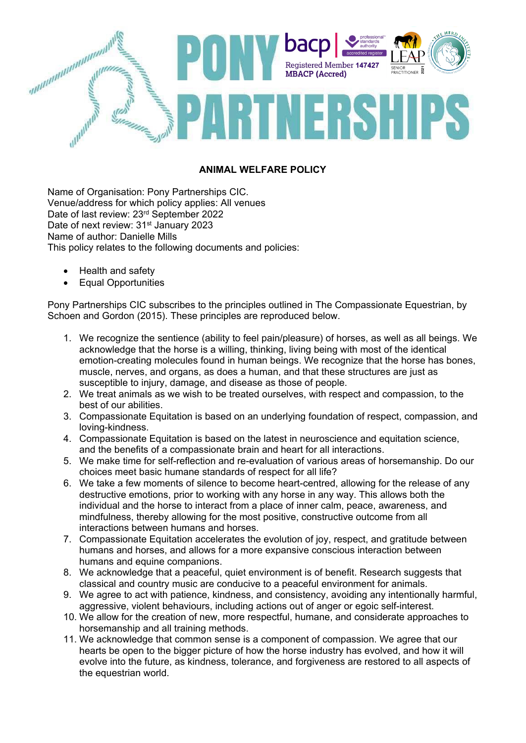

### **ANIMAL WELFARE POLICY**

Name of Organisation: Pony Partnerships CIC. Venue/address for which policy applies: All venues Date of last review: 23rd September 2022 Date of next review: 31<sup>st</sup> January 2023 Name of author: Danielle Mills This policy relates to the following documents and policies:

- Health and safety
- Equal Opportunities

Pony Partnerships CIC subscribes to the principles outlined in The Compassionate Equestrian, by Schoen and Gordon (2015). These principles are reproduced below.

- 1. We recognize the sentience (ability to feel pain/pleasure) of horses, as well as all beings. We acknowledge that the horse is a willing, thinking, living being with most of the identical emotion-creating molecules found in human beings. We recognize that the horse has bones, muscle, nerves, and organs, as does a human, and that these structures are just as susceptible to injury, damage, and disease as those of people.
- 2. We treat animals as we wish to be treated ourselves, with respect and compassion, to the best of our abilities.
- 3. Compassionate Equitation is based on an underlying foundation of respect, compassion, and loving-kindness.
- 4. Compassionate Equitation is based on the latest in neuroscience and equitation science, and the benefits of a compassionate brain and heart for all interactions.
- 5. We make time for self-reflection and re-evaluation of various areas of horsemanship. Do our choices meet basic humane standards of respect for all life?
- 6. We take a few moments of silence to become heart-centred, allowing for the release of any destructive emotions, prior to working with any horse in any way. This allows both the individual and the horse to interact from a place of inner calm, peace, awareness, and mindfulness, thereby allowing for the most positive, constructive outcome from all interactions between humans and horses.
- 7. Compassionate Equitation accelerates the evolution of joy, respect, and gratitude between humans and horses, and allows for a more expansive conscious interaction between humans and equine companions.
- 8. We acknowledge that a peaceful, quiet environment is of benefit. Research suggests that classical and country music are conducive to a peaceful environment for animals.
- 9. We agree to act with patience, kindness, and consistency, avoiding any intentionally harmful, aggressive, violent behaviours, including actions out of anger or egoic self-interest.
- 10. We allow for the creation of new, more respectful, humane, and considerate approaches to horsemanship and all training methods.
- 11. We acknowledge that common sense is a component of compassion. We agree that our hearts be open to the bigger picture of how the horse industry has evolved, and how it will evolve into the future, as kindness, tolerance, and forgiveness are restored to all aspects of the equestrian world.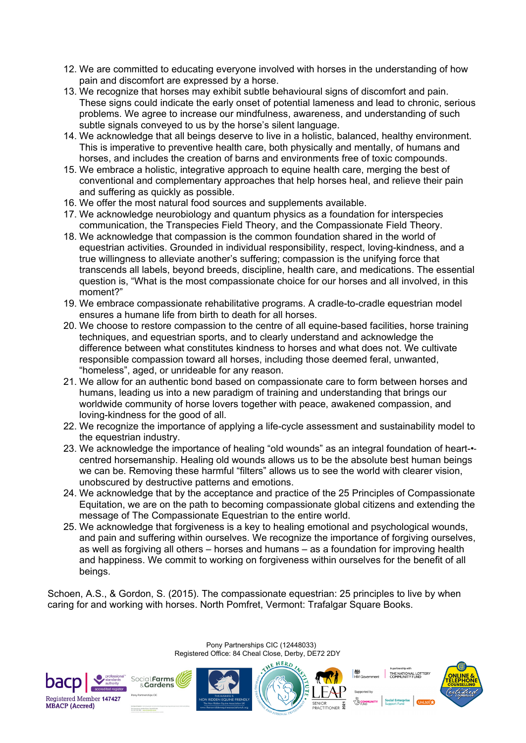- 12. We are committed to educating everyone involved with horses in the understanding of how pain and discomfort are expressed by a horse.
- 13. We recognize that horses may exhibit subtle behavioural signs of discomfort and pain. These signs could indicate the early onset of potential lameness and lead to chronic, serious problems. We agree to increase our mindfulness, awareness, and understanding of such subtle signals conveyed to us by the horse's silent language.
- 14. We acknowledge that all beings deserve to live in a holistic, balanced, healthy environment. This is imperative to preventive health care, both physically and mentally, of humans and horses, and includes the creation of barns and environments free of toxic compounds.
- 15. We embrace a holistic, integrative approach to equine health care, merging the best of conventional and complementary approaches that help horses heal, and relieve their pain and suffering as quickly as possible.
- 16. We offer the most natural food sources and supplements available.
- 17. We acknowledge neurobiology and quantum physics as a foundation for interspecies communication, the Transpecies Field Theory, and the Compassionate Field Theory.
- 18. We acknowledge that compassion is the common foundation shared in the world of equestrian activities. Grounded in individual responsibility, respect, loving-kindness, and a true willingness to alleviate another's suffering; compassion is the unifying force that transcends all labels, beyond breeds, discipline, health care, and medications. The essential question is, "What is the most compassionate choice for our horses and all involved, in this moment?"
- 19. We embrace compassionate rehabilitative programs. A cradle-to-cradle equestrian model ensures a humane life from birth to death for all horses.
- 20. We choose to restore compassion to the centre of all equine-based facilities, horse training techniques, and equestrian sports, and to clearly understand and acknowledge the difference between what constitutes kindness to horses and what does not. We cultivate responsible compassion toward all horses, including those deemed feral, unwanted, "homeless", aged, or unrideable for any reason.
- 21. We allow for an authentic bond based on compassionate care to form between horses and humans, leading us into a new paradigm of training and understanding that brings our worldwide community of horse lovers together with peace, awakened compassion, and loving-kindness for the good of all.
- 22. We recognize the importance of applying a life-cycle assessment and sustainability model to the equestrian industry.
- 23. We acknowledge the importance of healing "old wounds" as an integral foundation of heart-•‐ centred horsemanship. Healing old wounds allows us to be the absolute best human beings we can be. Removing these harmful "filters" allows us to see the world with clearer vision, unobscured by destructive patterns and emotions.
- 24. We acknowledge that by the acceptance and practice of the 25 Principles of Compassionate Equitation, we are on the path to becoming compassionate global citizens and extending the message of The Compassionate Equestrian to the entire world.
- 25. We acknowledge that forgiveness is a key to healing emotional and psychological wounds, and pain and suffering within ourselves. We recognize the importance of forgiving ourselves, as well as forgiving all others – horses and humans – as a foundation for improving health and happiness. We commit to working on forgiveness within ourselves for the benefit of all beings.

Schoen, A.S., & Gordon, S. (2015). The compassionate equestrian: 25 principles to live by when caring for and working with horses. North Pomfret, Vermont: Trafalgar Square Books.

> Pony Partnerships CIC (12448033) Registered Office: 84 Cheal Close, Derby, DE72 2DY

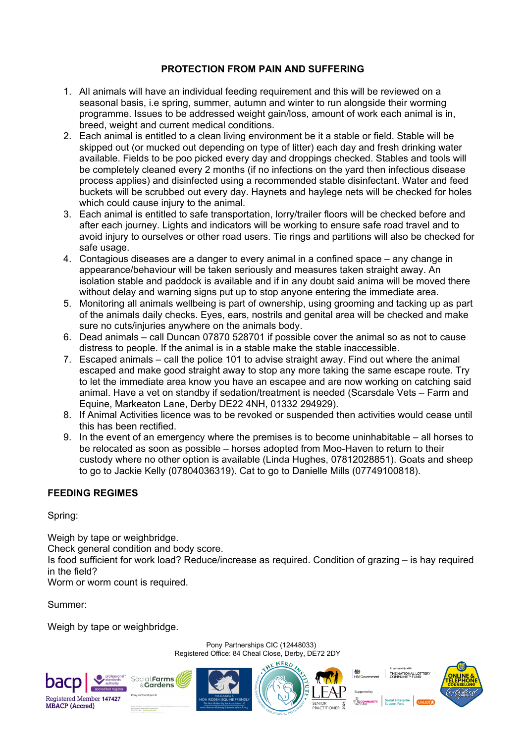#### **PROTECTION FROM PAIN AND SUFFERING**

- 1. All animals will have an individual feeding requirement and this will be reviewed on a seasonal basis, i.e spring, summer, autumn and winter to run alongside their worming programme. Issues to be addressed weight gain/loss, amount of work each animal is in, breed, weight and current medical conditions.
- 2. Each animal is entitled to a clean living environment be it a stable or field. Stable will be skipped out (or mucked out depending on type of litter) each day and fresh drinking water available. Fields to be poo picked every day and droppings checked. Stables and tools will be completely cleaned every 2 months (if no infections on the yard then infectious disease process applies) and disinfected using a recommended stable disinfectant. Water and feed buckets will be scrubbed out every day. Haynets and haylege nets will be checked for holes which could cause injury to the animal.
- 3. Each animal is entitled to safe transportation, lorry/trailer floors will be checked before and after each journey. Lights and indicators will be working to ensure safe road travel and to avoid injury to ourselves or other road users. Tie rings and partitions will also be checked for safe usage.
- 4. Contagious diseases are a danger to every animal in a confined space any change in appearance/behaviour will be taken seriously and measures taken straight away. An isolation stable and paddock is available and if in any doubt said anima will be moved there without delay and warning signs put up to stop anyone entering the immediate area.
- 5. Monitoring all animals wellbeing is part of ownership, using grooming and tacking up as part of the animals daily checks. Eyes, ears, nostrils and genital area will be checked and make sure no cuts/injuries anywhere on the animals body.
- 6. Dead animals call Duncan 07870 528701 if possible cover the animal so as not to cause distress to people. If the animal is in a stable make the stable inaccessible.
- 7. Escaped animals call the police 101 to advise straight away. Find out where the animal escaped and make good straight away to stop any more taking the same escape route. Try to let the immediate area know you have an escapee and are now working on catching said animal. Have a vet on standby if sedation/treatment is needed (Scarsdale Vets – Farm and Equine, Markeaton Lane, Derby DE22 4NH, 01332 294929).
- 8. If Animal Activities licence was to be revoked or suspended then activities would cease until this has been rectified.
- 9. In the event of an emergency where the premises is to become uninhabitable all horses to be relocated as soon as possible – horses adopted from Moo-Haven to return to their custody where no other option is available (Linda Hughes, 07812028851). Goats and sheep to go to Jackie Kelly (07804036319). Cat to go to Danielle Mills (07749100818).

## **FEEDING REGIMES**

Spring:

Weigh by tape or weighbridge. Check general condition and body score. Is food sufficient for work load? Reduce/increase as required. Condition of grazing – is hay required in the field? Worm or worm count is required.

Pony Partnerships CIC (12448033)

Summer:

Weigh by tape or weighbridge.

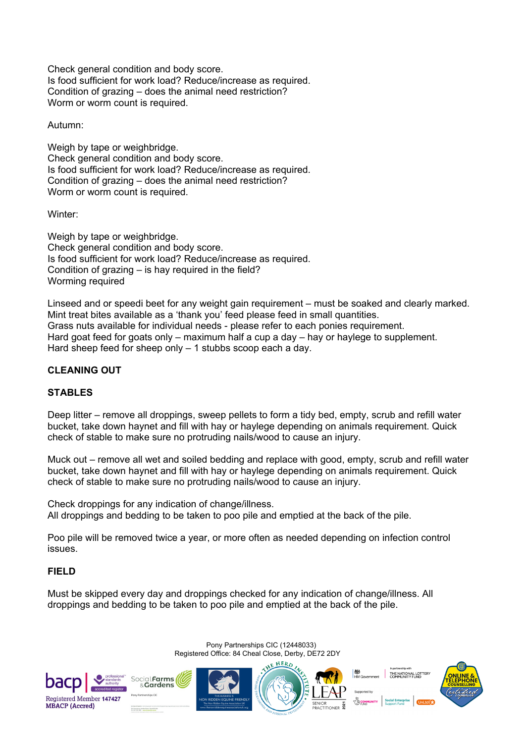Check general condition and body score. Is food sufficient for work load? Reduce/increase as required. Condition of grazing – does the animal need restriction? Worm or worm count is required.

Autumn:

Weigh by tape or weighbridge. Check general condition and body score. Is food sufficient for work load? Reduce/increase as required. Condition of grazing – does the animal need restriction? Worm or worm count is required.

Winter:

Weigh by tape or weighbridge. Check general condition and body score. Is food sufficient for work load? Reduce/increase as required. Condition of grazing – is hay required in the field? Worming required

Linseed and or speedi beet for any weight gain requirement – must be soaked and clearly marked. Mint treat bites available as a 'thank you' feed please feed in small quantities. Grass nuts available for individual needs - please refer to each ponies requirement. Hard goat feed for goats only – maximum half a cup a day – hay or haylege to supplement. Hard sheep feed for sheep only – 1 stubbs scoop each a day.

# **CLEANING OUT**

## **STABLES**

Deep litter – remove all droppings, sweep pellets to form a tidy bed, empty, scrub and refill water bucket, take down haynet and fill with hay or haylege depending on animals requirement. Quick check of stable to make sure no protruding nails/wood to cause an injury.

Muck out – remove all wet and soiled bedding and replace with good, empty, scrub and refill water bucket, take down haynet and fill with hay or haylege depending on animals requirement. Quick check of stable to make sure no protruding nails/wood to cause an injury.

Check droppings for any indication of change/illness. All droppings and bedding to be taken to poo pile and emptied at the back of the pile.

Poo pile will be removed twice a year, or more often as needed depending on infection control issues.

## **FIELD**

Must be skipped every day and droppings checked for any indication of change/illness. All droppings and bedding to be taken to poo pile and emptied at the back of the pile.

> Pony Partnerships CIC (12448033) Registered Office: 84 Cheal Close, Derby, DE72 2DY